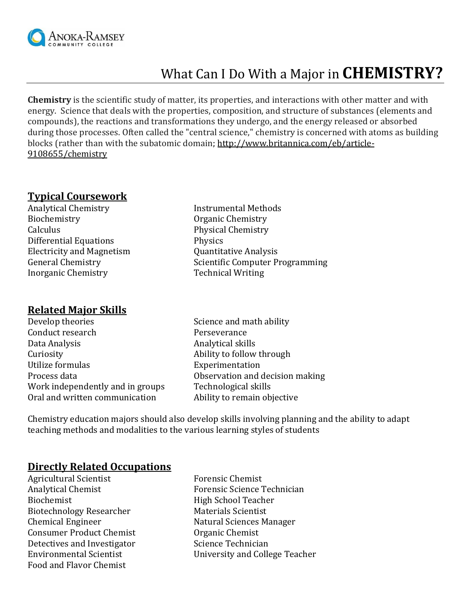

# What Can I Do With a Major in **CHEMISTRY?**

**Chemistry** is the scientific study of matter, its properties, and interactions with other matter and with energy. Science that deals with the properties, composition, and structure of substances (elements and compounds), the reactions and transformations they undergo, and the energy released or absorbed during those processes. Often called the "central science," chemistry is concerned with atoms as building blocks (rather than with the subatomic domain[; http://www.britannica.com/eb/article-](http://www.britannica.com/eb/article-9108655/chemistry)[9108655/chemistry](http://www.britannica.com/eb/article-9108655/chemistry)

#### **Typical Coursework**

Analytical Chemistry **Instrumental Methods** Biochemistry **Organic Chemistry** Calculus Physical Chemistry Differential Equations Physics Electricity and Magnetism Quantitative Analysis Inorganic Chemistry Technical Writing

#### **Related Major Skills**

| Develop theories                 |
|----------------------------------|
| Conduct research                 |
| Data Analysis                    |
| Curiosity                        |
| Utilize formulas                 |
| Process data                     |
| Work independently and in groups |
| Oral and written communication   |

- General Chemistry Scientific Computer Programming
	- Science and math ability Perseverance Analytical skills Ability to follow through **Experimentation** Observation and decision making Technological skills Ability to remain objective

Chemistry education majors should also develop skills involving planning and the ability to adapt teaching methods and modalities to the various learning styles of students

#### **Directly Related Occupations**

Agricultural Scientist Forensic Chemist Biochemist High School Teacher Biotechnology Researcher Materials Scientist Chemical Engineer Natural Sciences Manager Consumer Product Chemist Organic Chemist Detectives and Investigator Science Technician Food and Flavor Chemist

Analytical Chemist Forensic Science Technician Environmental Scientist University and College Teacher